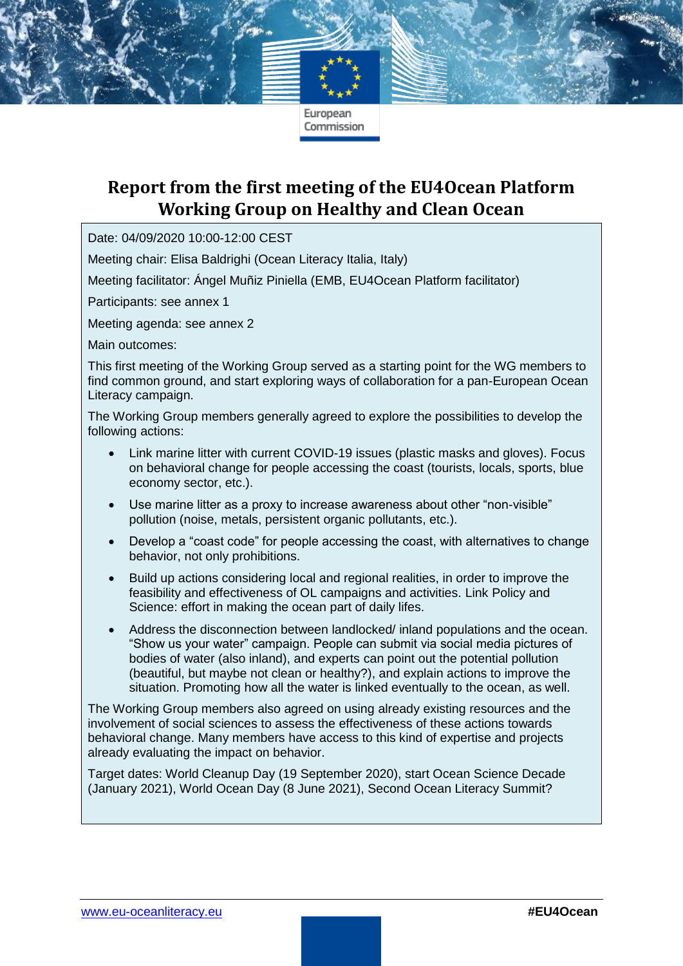# **Report from the first meeting of the EU4Ocean Platform Working Group on Healthy and Clean Ocean**

Date: 04/09/2020 10:00-12:00 CEST

Meeting chair: Elisa Baldrighi (Ocean Literacy Italia, Italy)

Meeting facilitator: Ángel Muñiz Piniella (EMB, EU4Ocean Platform facilitator)

Participants: see annex 1

Meeting agenda: see annex 2

Main outcomes:

This first meeting of the Working Group served as a starting point for the WG members to find common ground, and start exploring ways of collaboration for a pan-European Ocean Literacy campaign.

The Working Group members generally agreed to explore the possibilities to develop the following actions:

- Link marine litter with current COVID-19 issues (plastic masks and gloves). Focus on behavioral change for people accessing the coast (tourists, locals, sports, blue economy sector, etc.).
- Use marine litter as a proxy to increase awareness about other "non-visible" pollution (noise, metals, persistent organic pollutants, etc.).
- Develop a "coast code" for people accessing the coast, with alternatives to change behavior, not only prohibitions.
- Build up actions considering local and regional realities, in order to improve the feasibility and effectiveness of OL campaigns and activities. Link Policy and Science: effort in making the ocean part of daily lifes.
- Address the disconnection between landlocked/ inland populations and the ocean. "Show us your water" campaign. People can submit via social media pictures of bodies of water (also inland), and experts can point out the potential pollution (beautiful, but maybe not clean or healthy?), and explain actions to improve the situation. Promoting how all the water is linked eventually to the ocean, as well.

The Working Group members also agreed on using already existing resources and the involvement of social sciences to assess the effectiveness of these actions towards behavioral change. Many members have access to this kind of expertise and projects already evaluating the impact on behavior.

Target dates: World Cleanup Day (19 September 2020), start Ocean Science Decade (January 2021), World Ocean Day (8 June 2021), Second Ocean Literacy Summit?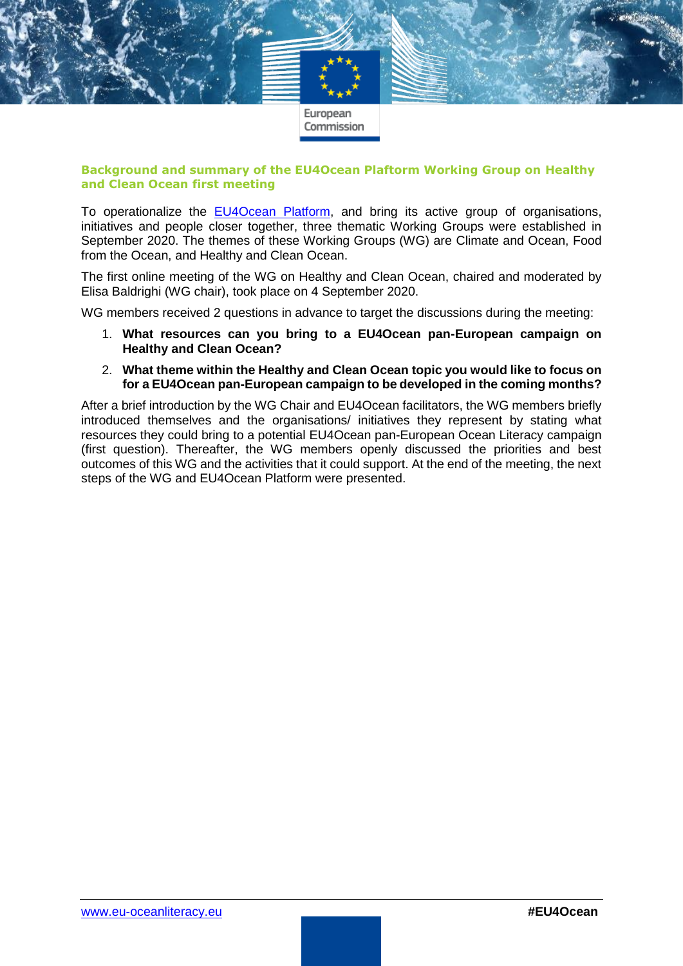

#### **Background and summary of the EU4Ocean Plaftorm Working Group on Healthy and Clean Ocean first meeting**

To operationalize the [EU4Ocean Platform,](https://webgate.ec.europa.eu/maritimeforum/en/frontpage/1483) and bring its active group of organisations, initiatives and people closer together, three thematic Working Groups were established in September 2020. The themes of these Working Groups (WG) are Climate and Ocean, Food from the Ocean, and Healthy and Clean Ocean.

The first online meeting of the WG on Healthy and Clean Ocean, chaired and moderated by Elisa Baldrighi (WG chair), took place on 4 September 2020.

WG members received 2 questions in advance to target the discussions during the meeting:

- 1. **What resources can you bring to a EU4Ocean pan-European campaign on Healthy and Clean Ocean?**
- 2. **What theme within the Healthy and Clean Ocean topic you would like to focus on for a EU4Ocean pan-European campaign to be developed in the coming months?**

After a brief introduction by the WG Chair and EU4Ocean facilitators, the WG members briefly introduced themselves and the organisations/ initiatives they represent by stating what resources they could bring to a potential EU4Ocean pan-European Ocean Literacy campaign (first question). Thereafter, the WG members openly discussed the priorities and best outcomes of this WG and the activities that it could support. At the end of the meeting, the next steps of the WG and EU4Ocean Platform were presented.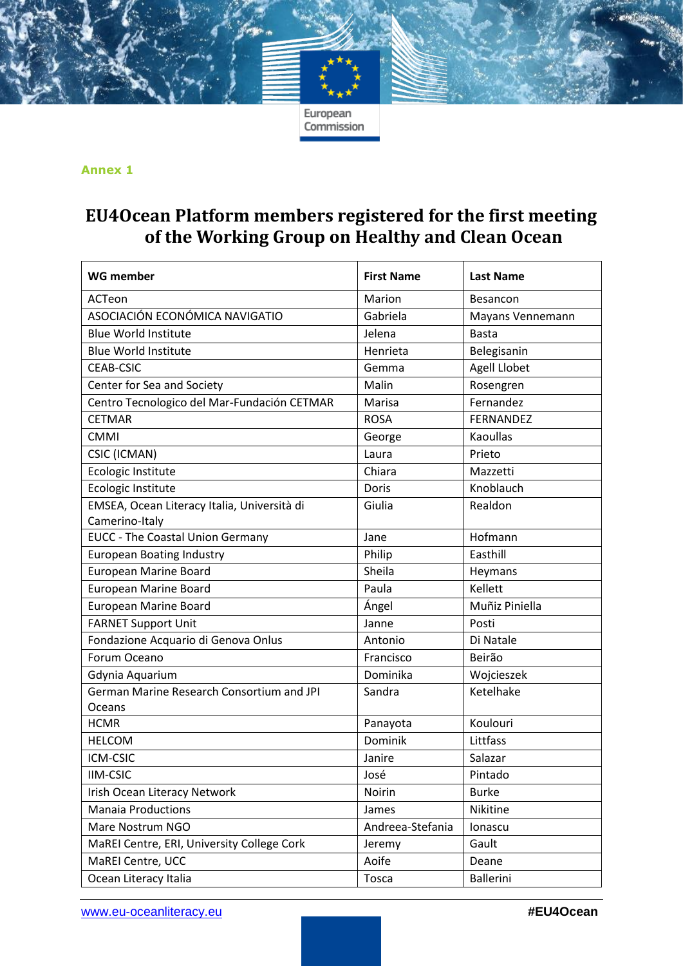#### **Annex 1**

# **EU4Ocean Platform members registered for the first meeting of the Working Group on Healthy and Clean Ocean**

| <b>WG member</b>                            | <b>First Name</b> | <b>Last Name</b> |  |
|---------------------------------------------|-------------------|------------------|--|
| ACTeon                                      | Marion            | Besancon         |  |
| ASOCIACIÓN ECONÓMICA NAVIGATIO              | Gabriela          | Mayans Vennemann |  |
| <b>Blue World Institute</b>                 | Jelena            | <b>Basta</b>     |  |
| <b>Blue World Institute</b>                 | Henrieta          | Belegisanin      |  |
| <b>CEAB-CSIC</b>                            | Gemma             | Agell Llobet     |  |
| Center for Sea and Society                  | Malin             | Rosengren        |  |
| Centro Tecnologico del Mar-Fundación CETMAR | Marisa            | Fernandez        |  |
| <b>CETMAR</b>                               | <b>ROSA</b>       | FERNANDEZ        |  |
| <b>CMMI</b>                                 | George            | <b>Kaoullas</b>  |  |
| <b>CSIC (ICMAN)</b>                         | Laura             | Prieto           |  |
| Ecologic Institute                          | Chiara            | Mazzetti         |  |
| Ecologic Institute                          | Doris             | Knoblauch        |  |
| EMSEA, Ocean Literacy Italia, Università di | Giulia            | Realdon          |  |
| Camerino-Italy                              |                   |                  |  |
| <b>EUCC - The Coastal Union Germany</b>     | Jane              | Hofmann          |  |
| <b>European Boating Industry</b>            | Philip            | Easthill         |  |
| <b>European Marine Board</b>                | Sheila            | Heymans          |  |
| <b>European Marine Board</b>                | Paula             | Kellett          |  |
| <b>European Marine Board</b>                | Ángel             | Muñiz Piniella   |  |
| <b>FARNET Support Unit</b>                  | Janne             | Posti            |  |
| Fondazione Acquario di Genova Onlus         | Antonio           | Di Natale        |  |
| Forum Oceano                                | Francisco         | Beirão           |  |
| Gdynia Aquarium                             | Dominika          | Wojcieszek       |  |
| German Marine Research Consortium and JPI   | Sandra            | Ketelhake        |  |
| Oceans                                      |                   |                  |  |
| <b>HCMR</b>                                 | Panayota          | Koulouri         |  |
| <b>HELCOM</b>                               | Dominik           | Littfass         |  |
| ICM-CSIC                                    | Janire            | Salazar          |  |
| <b>IIM-CSIC</b>                             | José              | Pintado          |  |
| Irish Ocean Literacy Network                | Noirin            | <b>Burke</b>     |  |
| <b>Manaia Productions</b>                   | James             | Nikitine         |  |
| Mare Nostrum NGO                            | Andreea-Stefania  | Ionascu          |  |
| MaREI Centre, ERI, University College Cork  | Jeremy            | Gault            |  |
| MaREI Centre, UCC                           | Aoife             | Deane            |  |
| Ocean Literacy Italia                       | Tosca             | <b>Ballerini</b> |  |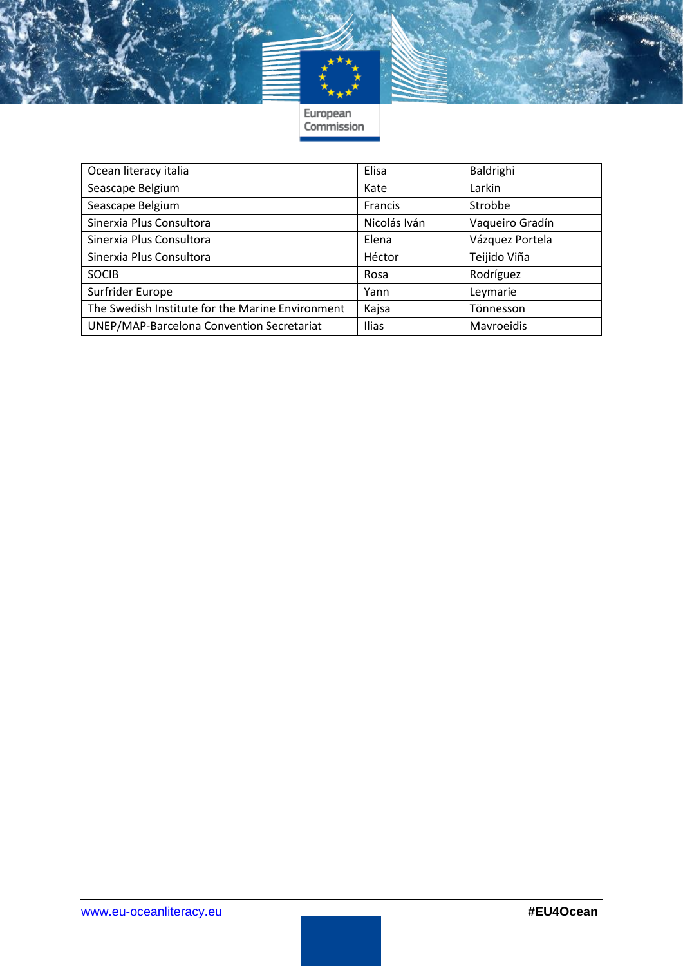

European<br>Commission

| Ocean literacy italia                            | Elisa        | Baldrighi       |
|--------------------------------------------------|--------------|-----------------|
| Seascape Belgium                                 | Kate         | Larkin          |
| Seascape Belgium                                 | Francis      | Strobbe         |
| Sinerxia Plus Consultora                         | Nicolás Iván | Vaqueiro Gradín |
| Sinerxia Plus Consultora                         | Elena        | Vázquez Portela |
| Sinerxia Plus Consultora                         | Héctor       | Teijido Viña    |
| <b>SOCIB</b>                                     | Rosa         | Rodríguez       |
| Surfrider Europe                                 | Yann         | Leymarie        |
| The Swedish Institute for the Marine Environment | Kajsa        | Tönnesson       |
| UNEP/MAP-Barcelona Convention Secretariat        | Ilias        | Mavroeidis      |